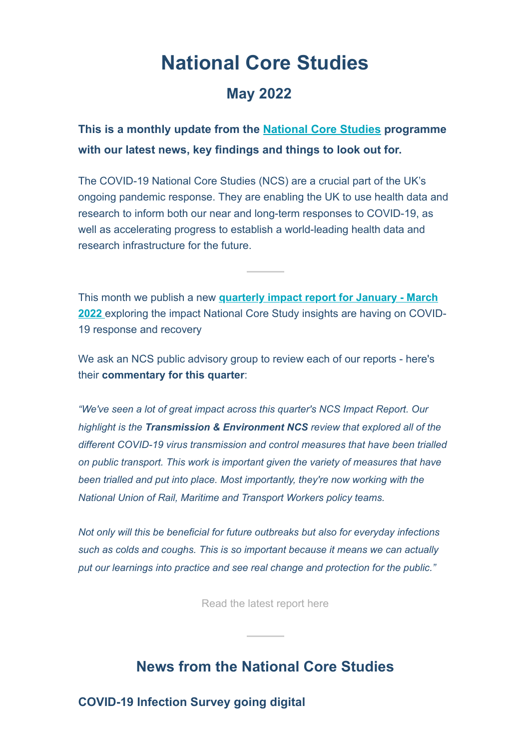# **National Core Studies**

### **May 2022**

**This is a monthly update from the [National Core Studies](https://www.gov.uk/government/publications/the-national-core-studies-programme?_hsenc=p2ANqtz-8dZ5Izj47ROlPNhGz8KX1pAU8MmMXzaCaGl9xIqZL2GSOVRhdQl08V79bS4UHA2knmoCyz) programme with our latest news, key findings and things to look out for.**

The COVID-19 National Core Studies (NCS) are a crucial part of the UK's ongoing pandemic response. They are enabling the UK to use health data and research to inform both our near and long-term responses to COVID-19, as well as accelerating progress to establish a world-leading health data and research infrastructure for the future.

This month we publish a new **quarterly impact report for January - March 2022** [exploring the impact National Core Study insights are having on COVID](https://www.hdruk.ac.uk/covid-19/covid-19-national-core-studies/?_hsenc=p2ANqtz-8dZ5Izj47ROlPNhGz8KX1pAU8MmMXzaCaGl9xIqZL2GSOVRhdQl08V79bS4UHA2knmoCyz)-19 response and recovery

We ask an NCS public advisory group to review each of our reports - here's their **commentary for this quarter**:

*"We've seen a lot of great impact across this quarter's NCS Impact Report. Our highlight is the Transmission & Environment NCS review that explored all of the different COVID-19 virus transmission and control measures that have been trialled on public transport. This work is important given the variety of measures that have been trialled and put into place. Most importantly, they're now working with the National Union of Rail, Maritime and Transport Workers policy teams.*

*Not only will this be beneficial for future outbreaks but also for everyday infections such as colds and coughs. This is so important because it means we can actually put our learnings into practice and see real change and protection for the public."*

[Read the latest report here](https://www.hdruk.ac.uk/covid-19/covid-19-national-core-studies/?_hsenc=p2ANqtz-8dZ5Izj47ROlPNhGz8KX1pAU8MmMXzaCaGl9xIqZL2GSOVRhdQl08V79bS4UHA2knmoCyz)

## **News from the National Core Studies**

**COVID-19 Infection Survey going digital**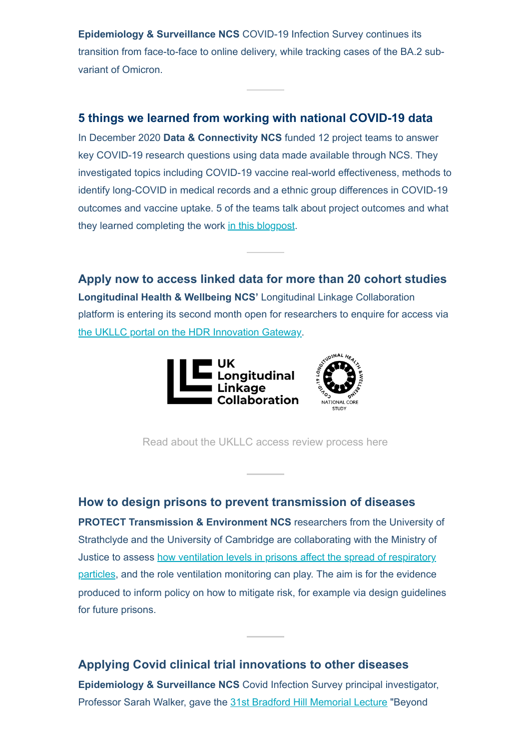**Epidemiology & Surveillance NCS** COVID-19 Infection Survey continues its transition from face-to-face to online delivery, while tracking cases of the BA.2 subvariant of Omicron.

### **5 things we learned from working with national COVID-19 data**

In December 2020 **Data & Connectivity NCS** funded 12 project teams to answer key COVID-19 research questions using data made available through NCS. They investigated topics including COVID-19 vaccine real-world effectiveness, methods to identify long-COVID in medical records and a ethnic group differences in COVID-19 outcomes and vaccine uptake. 5 of the teams talk about project outcomes and what they learned completing the work [in this blogpost](https://www.hdruk.ac.uk/news/five-data-driven-insights-from-our-urgent-covid-19-projects/?utm_source=NCS%20impact%20report&utm_medium=email&utm_campaign=D%26C%20impact%20blog&utm_id=D%26C%20impact%20blog&_hsenc=p2ANqtz-8dZ5Izj47ROlPNhGz8KX1pAU8MmMXzaCaGl9xIqZL2GSOVRhdQl08V79bS4UHA2knmoCyz).

**Apply now to access linked data for more than 20 cohort studies Longitudinal Health & Wellbeing NCS'** Longitudinal Linkage Collaboration platform is entering its second month open for researchers to enquire for access via [the UKLLC portal on the HDR Innovation Gateway.](https://web.www.healthdatagateway.org/dataset/d858cd90-9a2f-4330-9bbe-46e047a5d0a2?_hsenc=p2ANqtz-8dZ5Izj47ROlPNhGz8KX1pAU8MmMXzaCaGl9xIqZL2GSOVRhdQl08V79bS4UHA2knmoCyz)





[Read about the UKLLC access review process here](https://www.closer.ac.uk/news-opinion/blog/launching-an-important-piece-of-uk-research-infrastructure/?msclkid=7689d88ab5bd11ecb19432c183070a81&_hsenc=p2ANqtz-8dZ5Izj47ROlPNhGz8KX1pAU8MmMXzaCaGl9xIqZL2GSOVRhdQl08V79bS4UHA2knmoCyz)

#### **How to design prisons to prevent transmission of diseases**

**PROTECT Transmission & Environment NCS** researchers from the University of Strathclyde and the University of Cambridge are collaborating with the Ministry of Justice to assess how ventilation levels in prisons affect the spread of respiratory [particles, and the role ventilation monitoring can play. The aim is for the evidence](https://sites.manchester.ac.uk/covid19-national-project/2022/03/30/evaluating-transmission-risk-in-unique-workplaces-pilot-study-of-a-victorian-prison/?_hsenc=p2ANqtz-8dZ5Izj47ROlPNhGz8KX1pAU8MmMXzaCaGl9xIqZL2GSOVRhdQl08V79bS4UHA2knmoCyz) produced to inform policy on how to mitigate risk, for example via design guidelines for future prisons.

### **Applying Covid clinical trial innovations to other diseases Epidemiology & Surveillance NCS** Covid Infection Survey principal investigator, Professor Sarah Walker, gave the [31st Bradford Hill Memorial Lecture](https://www.lshtm.ac.uk/newsevents/events/31st-bradford-hill-memorial-lecture?_hsenc=p2ANqtz-8dZ5Izj47ROlPNhGz8KX1pAU8MmMXzaCaGl9xIqZL2GSOVRhdQl08V79bS4UHA2knmoCyz) "Beyond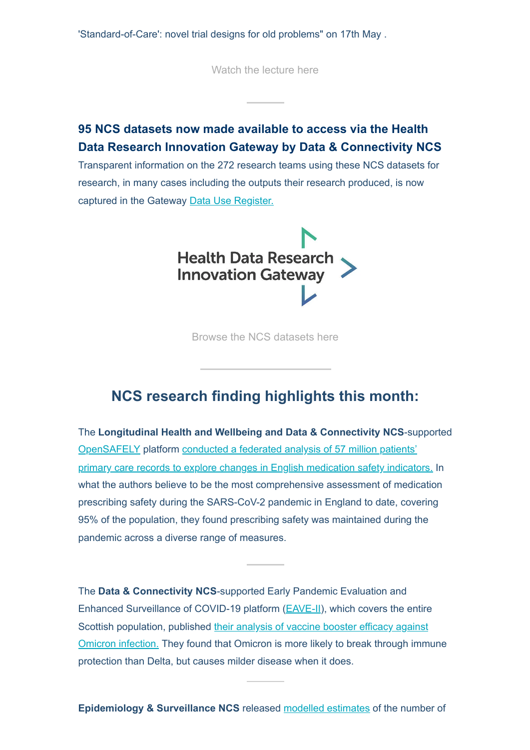'Standard-of-Care': novel trial designs for old problems" on 17th May .

[Watch the lecture here](https://www.lshtm.ac.uk/newsevents/events/31st-bradford-hill-memorial-lecture?_hsenc=p2ANqtz-8dZ5Izj47ROlPNhGz8KX1pAU8MmMXzaCaGl9xIqZL2GSOVRhdQl08V79bS4UHA2knmoCyz)

### **95 NCS datasets now made available to access via the Health Data Research Innovation Gateway by Data & Connectivity NCS**

Transparent information on the 272 research teams using these NCS datasets for research, in many cases including the outputs their research produced, is now captured in the Gateway [Data Use Register.](https://web.www.healthdatagateway.org/search?search=&datausekeywords=National%20Core%20Study&tab=Datauses&_hsenc=p2ANqtz-8dZ5Izj47ROlPNhGz8KX1pAU8MmMXzaCaGl9xIqZL2GSOVRhdQl08V79bS4UHA2knmoCyz)



[Browse the NCS datasets here](https://web.www.healthdatagateway.org/collection/6372136984450563?_hsenc=p2ANqtz-8dZ5Izj47ROlPNhGz8KX1pAU8MmMXzaCaGl9xIqZL2GSOVRhdQl08V79bS4UHA2knmoCyz)

### **NCS research finding highlights this month:**

The **Longitudinal Health and Wellbeing and Data & Connectivity NCS**-supported [OpenSAFELY](https://www.opensafely.org/about/?_hsenc=p2ANqtz-8dZ5Izj47ROlPNhGz8KX1pAU8MmMXzaCaGl9xIqZL2GSOVRhdQl08V79bS4UHA2knmoCyz) platform conducted a federated analysis of 57 million patients' [primary care records to explore changes in English medication safety indicators.](https://www.medrxiv.org/content/10.1101/2022.05.05.22273234v1?ct=&_hsenc=p2ANqtz-8dZ5Izj47ROlPNhGz8KX1pAU8MmMXzaCaGl9xIqZL2GSOVRhdQl08V79bS4UHA2knmoCyz) In what the authors believe to be the most comprehensive assessment of medication prescribing safety during the SARS-CoV-2 pandemic in England to date, covering 95% of the population, they found prescribing safety was maintained during the pandemic across a diverse range of measures.

The **Data & Connectivity NCS**-supported Early Pandemic Evaluation and Enhanced Surveillance of COVID-19 platform [\(EAVE-II\)](https://www.ed.ac.uk/usher/eave-ii?_hsenc=p2ANqtz-8dZ5Izj47ROlPNhGz8KX1pAU8MmMXzaCaGl9xIqZL2GSOVRhdQl08V79bS4UHA2knmoCyz), which covers the entire [Scottish population, published their analysis of vaccine booster efficacy against](https://www.ed.ac.uk/usher/eave-ii/key-outputs/our-publications/omicron-booster-effectiveness-symptomatic-disease?_hsenc=p2ANqtz-8dZ5Izj47ROlPNhGz8KX1pAU8MmMXzaCaGl9xIqZL2GSOVRhdQl08V79bS4UHA2knmoCyz) Omicron infection. They found that Omicron is more likely to break through immune protection than Delta, but causes milder disease when it does.

**Epidemiology & Surveillance NCS** released [modelled estimates](https://www.ons.gov.uk/peoplepopulationandcommunity/healthandsocialcare/conditionsanddiseases/articles/coronaviruscovid19infectionsurveytechnicalarticlecumulativeincidenceofthenumberofpeoplewhohavetestedpositiveforcovid19uk/22april2022?msclkid=0ebad80ac6d811ecae23f7d5478afb9c&_hsenc=p2ANqtz-8dZ5Izj47ROlPNhGz8KX1pAU8MmMXzaCaGl9xIqZL2GSOVRhdQl08V79bS4UHA2knmoCyz) of the number of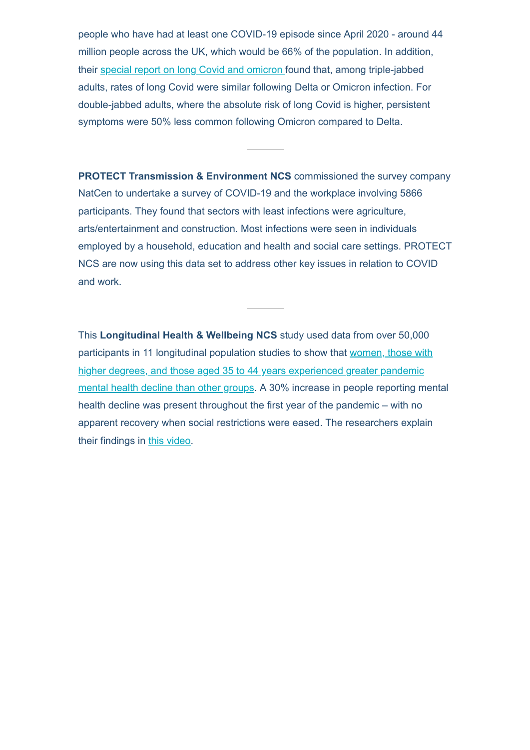people who have had at least one COVID-19 episode since April 2020 - around 44 million people across the UK, which would be 66% of the population. In addition, their [special report on long Covid and omicron f](https://www.ons.gov.uk/releases/selfreportedlongcovidafterinfectionwiththeomicronvariant?_hsenc=p2ANqtz-8dZ5Izj47ROlPNhGz8KX1pAU8MmMXzaCaGl9xIqZL2GSOVRhdQl08V79bS4UHA2knmoCyz)ound that, among triple-jabbed adults, rates of long Covid were similar following Delta or Omicron infection. For double-jabbed adults, where the absolute risk of long Covid is higher, persistent symptoms were 50% less common following Omicron compared to Delta.

**PROTECT Transmission & Environment NCS** commissioned the survey company NatCen to undertake a survey of COVID-19 and the workplace involving 5866 participants. They found that sectors with least infections were agriculture, arts/entertainment and construction. Most infections were seen in individuals employed by a household, education and health and social care settings. PROTECT NCS are now using this data set to address other key issues in relation to COVID and work.

This **Longitudinal Health & Wellbeing NCS** study used data from over 50,000 [participants in 11 longitudinal population studies to show that women, those with](https://jamanetwork.com/journals/jamanetworkopen/fullarticle/2791456?utm_source=twitter&utm_campaign=content-shareicons&utm_content=article_engagement&utm_medium=social&utm_term=042222&_hsenc=p2ANqtz-8dZ5Izj47ROlPNhGz8KX1pAU8MmMXzaCaGl9xIqZL2GSOVRhdQl08V79bS4UHA2knmoCyz#.YmLInoHSqrc.twitter) higher degrees, and those aged 35 to 44 years experienced greater pandemic mental health decline than other groups. A 30% increase in people reporting mental health decline was present throughout the first year of the pandemic – with no apparent recovery when social restrictions were eased. The researchers explain their findings in [this video](https://youtu.be/PXQfdmvGXmI?_hsenc=p2ANqtz-8dZ5Izj47ROlPNhGz8KX1pAU8MmMXzaCaGl9xIqZL2GSOVRhdQl08V79bS4UHA2knmoCyz).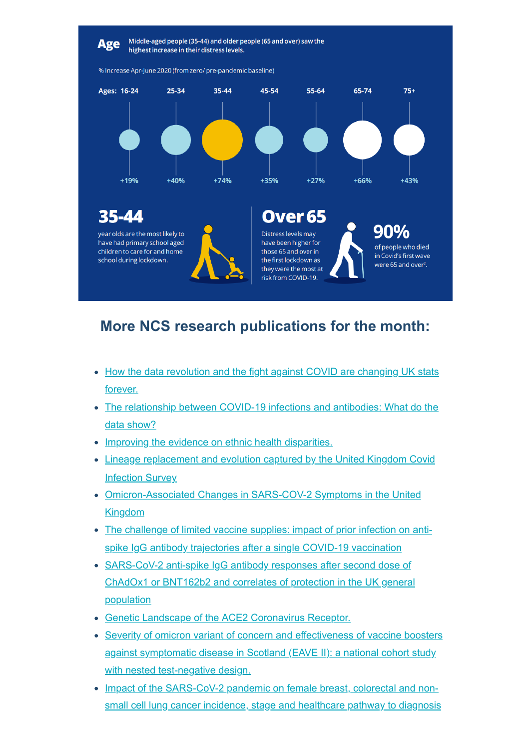

## **More NCS research publications for the month:**

- [How the data revolution and the fight against COVID are changing UK stats](https://blog.ons.gov.uk/2022/04/21/how-the-data-revolution-and-the-fight-against-covid-are-changing-uk-stats-forever/?_hsenc=p2ANqtz-8dZ5Izj47ROlPNhGz8KX1pAU8MmMXzaCaGl9xIqZL2GSOVRhdQl08V79bS4UHA2knmoCyz) forever.
- [The relationship between COVID-19 infections and antibodies: What do the](https://blog.ons.gov.uk/2022/04/06/the-relationship-between-covid-19-infections-and-antibodies-what-do-the-data-show/?_hsenc=p2ANqtz-8dZ5Izj47ROlPNhGz8KX1pAU8MmMXzaCaGl9xIqZL2GSOVRhdQl08V79bS4UHA2knmoCyz) data show?
- [Improving the evidence on ethnic health disparities.](https://blog.ons.gov.uk/2022/04/13/improving-the-evidence-on-ethnic-health-disparities/?_hsenc=p2ANqtz-8dZ5Izj47ROlPNhGz8KX1pAU8MmMXzaCaGl9xIqZL2GSOVRhdQl08V79bS4UHA2knmoCyz)
- [Lineage replacement and evolution captured by the United Kingdom Covid](https://eur03.safelinks.protection.outlook.com/?url=https%3A%2F%2Fdoi.org%2F10.1101%2F2022.01.05.21268323&data=05%7C01%7Czuzanna.balabuch%40ons.gov.uk%7Cfc49124d1bd647863ce908da285511ba%7C078807bfce824688bce00d811684dc46%7C0%7C0%7C637866643081240743%7CUnknown%7CTWFpbGZsb3d8eyJWIjoiMC4wLjAwMDAiLCJQIjoiV2luMzIiLCJBTiI6Ik1haWwiLCJXVCI6Mn0%3D%7C3000%7C%7C%7C&sdata=jfBe%2BKsVqf7%2FALWqjkDya%2FdWf93S71D%2F9pDMOzhG518%3D&reserved=0&_hsenc=p2ANqtz-8dZ5Izj47ROlPNhGz8KX1pAU8MmMXzaCaGl9xIqZL2GSOVRhdQl08V79bS4UHA2knmoCyz) Infection Survey
- [Omicron-Associated Changes in SARS-COV-2 Symptoms in the United](https://eur03.safelinks.protection.outlook.com/?url=https%3A%2F%2Fdoi.org%2F10.1101%2F2022.01.18.22269082&data=05%7C01%7Czuzanna.balabuch%40ons.gov.uk%7Cfc49124d1bd647863ce908da285511ba%7C078807bfce824688bce00d811684dc46%7C0%7C0%7C637866643081240743%7CUnknown%7CTWFpbGZsb3d8eyJWIjoiMC4wLjAwMDAiLCJQIjoiV2luMzIiLCJBTiI6Ik1haWwiLCJXVCI6Mn0%3D%7C3000%7C%7C%7C&sdata=gquVVQEGJfjc%2FzLNvey2T90K3u4oyZx%2FyJ3VHoZwLmI%3D&reserved=0&_hsenc=p2ANqtz-8dZ5Izj47ROlPNhGz8KX1pAU8MmMXzaCaGl9xIqZL2GSOVRhdQl08V79bS4UHA2knmoCyz) Kingdom
- [The challenge of limited vaccine supplies: impact of prior infection on anti](https://eur03.safelinks.protection.outlook.com/?url=https%3A%2F%2Fwww.medrxiv.org%2Fcontent%2F10.1101%2F2021.12.08.21267353v2&data=05%7C01%7Czuzanna.balabuch%40ons.gov.uk%7Cfc49124d1bd647863ce908da285511ba%7C078807bfce824688bce00d811684dc46%7C0%7C0%7C637866643081240743%7CUnknown%7CTWFpbGZsb3d8eyJWIjoiMC4wLjAwMDAiLCJQIjoiV2luMzIiLCJBTiI6Ik1haWwiLCJXVCI6Mn0%3D%7C3000%7C%7C%7C&sdata=16%2FkriIcpt9XNAAjZqRJKIYqk%2BaqxKPB02bzo5TbrIA%3D&reserved=0&_hsenc=p2ANqtz-8dZ5Izj47ROlPNhGz8KX1pAU8MmMXzaCaGl9xIqZL2GSOVRhdQl08V79bS4UHA2knmoCyz)spike IgG antibody trajectories after a single COVID-19 vaccination
- SARS-CoV-2 anti-spike IgG antibody responses after second dose of [ChAdOx1 or BNT162b2 and correlates of protection in the UK general](https://eur03.safelinks.protection.outlook.com/?url=https%3A%2F%2Fwww.medrxiv.org%2Fcontent%2F10.1101%2F2021.09.13.21263487v3&data=05%7C01%7Czuzanna.balabuch%40ons.gov.uk%7Cfc49124d1bd647863ce908da285511ba%7C078807bfce824688bce00d811684dc46%7C0%7C0%7C637866643081240743%7CUnknown%7CTWFpbGZsb3d8eyJWIjoiMC4wLjAwMDAiLCJQIjoiV2luMzIiLCJBTiI6Ik1haWwiLCJXVCI6Mn0%3D%7C3000%7C%7C%7C&sdata=rPsogE4Y2d03dMp6ezJAL3x3zizE%2BUPvVoBrMrS4Rac%3D&reserved=0&_hsenc=p2ANqtz-8dZ5Izj47ROlPNhGz8KX1pAU8MmMXzaCaGl9xIqZL2GSOVRhdQl08V79bS4UHA2knmoCyz) population
- [Genetic Landscape of the ACE2 Coronavirus Receptor.](https://doi.org/10.1161/circulationaha.121.057888?_hsenc=p2ANqtz-8dZ5Izj47ROlPNhGz8KX1pAU8MmMXzaCaGl9xIqZL2GSOVRhdQl08V79bS4UHA2knmoCyz)
- [Severity of omicron variant of concern and effectiveness of vaccine boosters](https://doi.org/10.1016/s1473-3099(22)00141-4?_hsenc=p2ANqtz-8dZ5Izj47ROlPNhGz8KX1pAU8MmMXzaCaGl9xIqZL2GSOVRhdQl08V79bS4UHA2knmoCyz) against symptomatic disease in Scotland (EAVE II): a national cohort study with nested test-negative design.
- [Impact of the SARS-CoV-2 pandemic on female breast, colorectal and non](https://doi.org/10.1038/s41416-022-01830-6?_hsenc=p2ANqtz-8dZ5Izj47ROlPNhGz8KX1pAU8MmMXzaCaGl9xIqZL2GSOVRhdQl08V79bS4UHA2knmoCyz)small cell lung cancer incidence, stage and healthcare pathway to diagnosis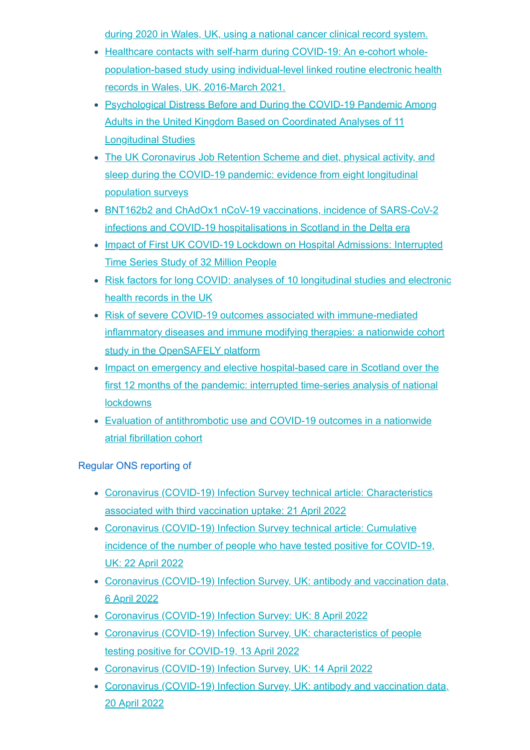[during 2020 in Wales, UK, using a national cancer clinical record system.](https://doi.org/10.1038/s41416-022-01830-6?_hsenc=p2ANqtz-8dZ5Izj47ROlPNhGz8KX1pAU8MmMXzaCaGl9xIqZL2GSOVRhdQl08V79bS4UHA2knmoCyz)

- Healthcare contacts with self-harm during COVID-19: An e-cohort whole[population-based study using individual-level linked routine electronic health](https://doi.org/10.1371/journal.pone.0266967?_hsenc=p2ANqtz-8dZ5Izj47ROlPNhGz8KX1pAU8MmMXzaCaGl9xIqZL2GSOVRhdQl08V79bS4UHA2knmoCyz) records in Wales, UK, 2016-March 2021.
- [Psychological Distress Before and During the COVID-19 Pandemic Among](https://jamanetwork.com/journals/jamanetworkopen/fullarticle/2791456?utm_source=twitter&utm_campaign=content-shareicons&utm_content=article_engagement&utm_medium=social&utm_term=042222&_hsenc=p2ANqtz-8dZ5Izj47ROlPNhGz8KX1pAU8MmMXzaCaGl9xIqZL2GSOVRhdQl08V79bS4UHA2knmoCyz#.YmLInoHSqrc.twitter) Adults in the United Kingdom Based on Coordinated Analyses of 11 Longitudinal Studies
- [The UK Coronavirus Job Retention Scheme and diet, physical activity, and](https://link.springer.com/epdf/10.1186/s12916-022-02343-y?sharing_token=ej-KRyo--bUKEYSuLx8T12_BpE1tBhCbnbw3BuzI2ROkLyiHejypYyAq_oLSfdJc1v7YB_7qkjH7frgs3zZfD06QJAuO6wfyEFlHRBYOn6U6WV-1C8iCsr4QqxMPgDsMMKy8_35gmlFFDVgivg-PHF7LGoIJRcuhOA_OXovme28%3D&_hsenc=p2ANqtz-8dZ5Izj47ROlPNhGz8KX1pAU8MmMXzaCaGl9xIqZL2GSOVRhdQl08V79bS4UHA2knmoCyz) sleep during the COVID-19 pandemic: evidence from eight longitudinal population surveys
- [BNT162b2 and ChAdOx1 nCoV-19 vaccinations, incidence of SARS-CoV-2](https://jogh.org/2022/jogh-12-05008?_hsenc=p2ANqtz-8dZ5Izj47ROlPNhGz8KX1pAU8MmMXzaCaGl9xIqZL2GSOVRhdQl08V79bS4UHA2knmoCyz) infections and COVID-19 hospitalisations in Scotland in the Delta era
- [Impact of First UK COVID-19 Lockdown on Hospital Admissions: Interrupted](https://dx.doi.org/10.2139/ssrn.3970709?_hsenc=p2ANqtz-8dZ5Izj47ROlPNhGz8KX1pAU8MmMXzaCaGl9xIqZL2GSOVRhdQl08V79bS4UHA2knmoCyz) Time Series Study of 32 Million People
- [Risk factors for long COVID: analyses of 10 longitudinal studies and electronic](https://doi.org/10.1101/2021.06.24.21259277?_hsenc=p2ANqtz-8dZ5Izj47ROlPNhGz8KX1pAU8MmMXzaCaGl9xIqZL2GSOVRhdQl08V79bS4UHA2knmoCyz) health records in the UK
- Risk of severe COVID-19 outcomes associated with immune-mediated [inflammatory diseases and immune modifying therapies: a nationwide cohort](https://www.medrxiv.org/content/10.1101/2021.09.03.21262888v2?_hsenc=p2ANqtz-8dZ5Izj47ROlPNhGz8KX1pAU8MmMXzaCaGl9xIqZL2GSOVRhdQl08V79bS4UHA2knmoCyz) study in the OpenSAFELY platform
- [Impact on emergency and elective hospital-based care in Scotland over the](https://journals.sagepub.com/doi/10.1177/01410768221095239?url_ver=Z39.88-2003&rfr_id=ori%3Arid%3Acrossref.org&rfr_dat=cr_pub%20%200pubmed&_hsenc=p2ANqtz-8dZ5Izj47ROlPNhGz8KX1pAU8MmMXzaCaGl9xIqZL2GSOVRhdQl08V79bS4UHA2knmoCyz) first 12 months of the pandemic: interrupted time-series analysis of national **lockdowns**
- [Evaluation of antithrombotic use and COVID-19 outcomes in a nationwide](https://heart.bmj.com/content/early/2022/03/09/heartjnl-2021-320325?_hsenc=p2ANqtz-8dZ5Izj47ROlPNhGz8KX1pAU8MmMXzaCaGl9xIqZL2GSOVRhdQl08V79bS4UHA2knmoCyz) atrial fibrillation cohort

Regular ONS reporting of

- [Coronavirus \(COVID-19\) Infection Survey technical article: Characteristics](https://www.ons.gov.uk/peoplepopulationandcommunity/healthandsocialcare/conditionsanddiseases/articles/coronaviruscovid19infectionsurveytechnicalarticlecharacteristicsassociatedwiththirdvaccinationuptake/21april2022?_hsenc=p2ANqtz-8dZ5Izj47ROlPNhGz8KX1pAU8MmMXzaCaGl9xIqZL2GSOVRhdQl08V79bS4UHA2knmoCyz) associated with third vaccination uptake: 21 April 2022
- Coronavirus (COVID-19) Infection Survey technical article: Cumulative [incidence of the number of people who have tested positive for COVID-19,](https://www.ons.gov.uk/peoplepopulationandcommunity/healthandsocialcare/conditionsanddiseases/articles/coronaviruscovid19infectionsurveytechnicalarticlecumulativeincidenceofthenumberofpeoplewhohavetestedpositiveforcovid19uk/22april2022?_hsenc=p2ANqtz-8dZ5Izj47ROlPNhGz8KX1pAU8MmMXzaCaGl9xIqZL2GSOVRhdQl08V79bS4UHA2knmoCyz) UK: 22 April 2022
- [Coronavirus \(COVID-19\) Infection Survey, UK: antibody and vaccination data,](https://www.ons.gov.uk/releases/coronaviruscovid19infectionsurveyukantibodyandvaccinationdata6april2022?_hsenc=p2ANqtz-8dZ5Izj47ROlPNhGz8KX1pAU8MmMXzaCaGl9xIqZL2GSOVRhdQl08V79bS4UHA2knmoCyz) 6 April 2022
- [Coronavirus \(COVID-19\) Infection Survey: UK: 8 April 2022](https://www.ons.gov.uk/releases/coronaviruscovid19infectionsurveyuk8april2022?_hsenc=p2ANqtz-8dZ5Izj47ROlPNhGz8KX1pAU8MmMXzaCaGl9xIqZL2GSOVRhdQl08V79bS4UHA2knmoCyz)
- [Coronavirus \(COVID-19\) Infection Survey, UK: characteristics of people](https://www.ons.gov.uk/releases/coronaviruscovid19infectionsurveyukcharacteristicsofpeopletestingpositiveforcovid1913april2022?_hsenc=p2ANqtz-8dZ5Izj47ROlPNhGz8KX1pAU8MmMXzaCaGl9xIqZL2GSOVRhdQl08V79bS4UHA2knmoCyz) testing positive for COVID-19, 13 April 2022
- [Coronavirus \(COVID-19\) Infection Survey, UK: 14 April 2022](https://www.ons.gov.uk/releases/coronaviruscovid19infectionsurveyuk14april2022?_hsenc=p2ANqtz-8dZ5Izj47ROlPNhGz8KX1pAU8MmMXzaCaGl9xIqZL2GSOVRhdQl08V79bS4UHA2knmoCyz)
- [Coronavirus \(COVID-19\) Infection Survey, UK: antibody and vaccination data,](https://www.ons.gov.uk/releases/coronaviruscovid19infectionsurveyukantibodyandvaccinationdata20april2022?_hsenc=p2ANqtz-8dZ5Izj47ROlPNhGz8KX1pAU8MmMXzaCaGl9xIqZL2GSOVRhdQl08V79bS4UHA2knmoCyz) 20 April 2022